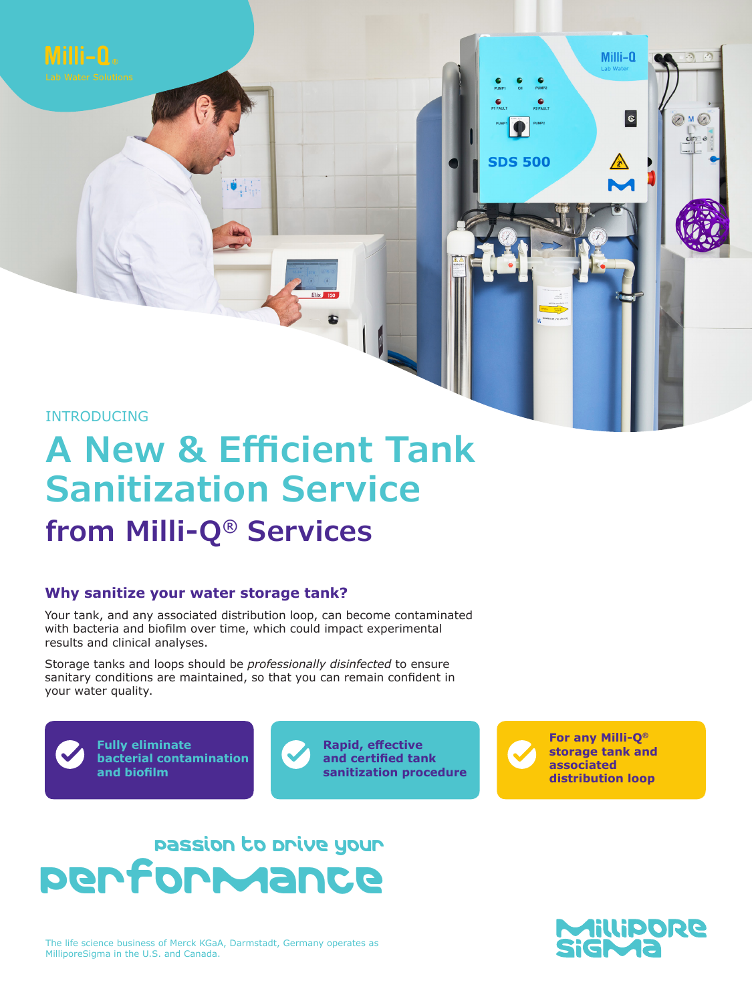

Milli-A.

# **A New & Efficient Tank Sanitization Service from Milli-Q® Services**

## **Why sanitize your water storage tank?**

Your tank, and any associated distribution loop, can become contaminated with bacteria and biofilm over time, which could impact experimental results and clinical analyses.

Storage tanks and loops should be *professionally disinfected* to ensure sanitary conditions are maintained, so that you can remain confident in your water quality.



**Fully eliminate bacterial contamination and biofilm**



**For any Milli-Q® storage tank and associated distribution loop**

Milli-Q

 $|\bm{\varepsilon}|$ 

**SDS 500** 

 $M$